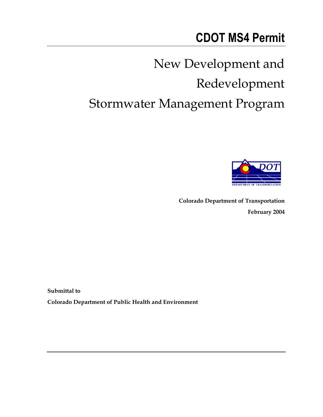# **CDOT MS4 Permit**

# New Development and Redevelopment Stormwater Management Program



**Colorado Department of Transportation February 2004**

**Submittal to Colorado Department of Public Health and Environment**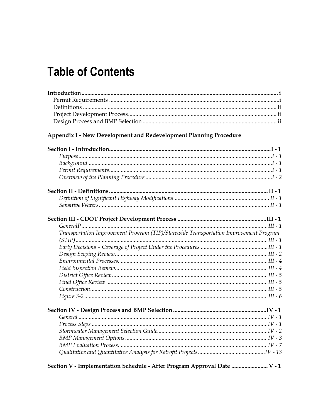## **Table of Contents**

### Appendix I - New Development and Redevelopment Planning Procedure

| Transportation Improvement Program (TIP)/Statewide Transportation Improvement Program |  |
|---------------------------------------------------------------------------------------|--|
|                                                                                       |  |
|                                                                                       |  |
|                                                                                       |  |
|                                                                                       |  |
|                                                                                       |  |
|                                                                                       |  |
|                                                                                       |  |
|                                                                                       |  |
|                                                                                       |  |
|                                                                                       |  |
|                                                                                       |  |
|                                                                                       |  |
|                                                                                       |  |
|                                                                                       |  |
|                                                                                       |  |
|                                                                                       |  |
| Section V - Implementation Schedule - After Program Approval Date  V - 1              |  |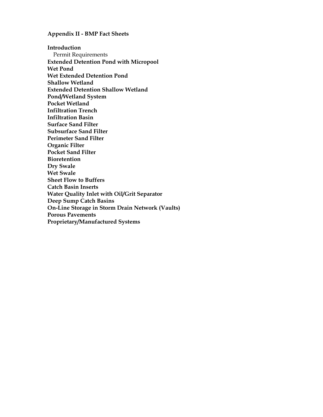#### **Appendix II - BMP Fact Sheets**

**Introduction**  Permit Requirements **Extended Detention Pond with Micropool Wet Pond Wet Extended Detention Pond Shallow Wetland Extended Detention Shallow Wetland Pond/Wetland System Pocket Wetland Infiltration Trench Infiltration Basin Surface Sand Filter Subsurface Sand Filter Perimeter Sand Filter Organic Filter Pocket Sand Filter Bioretention Dry Swale Wet Swale Sheet Flow to Buffers Catch Basin Inserts Water Quality Inlet with Oil/Grit Separator Deep Sump Catch Basins On-Line Storage in Storm Drain Network (Vaults) Porous Pavements Proprietary/Manufactured Systems**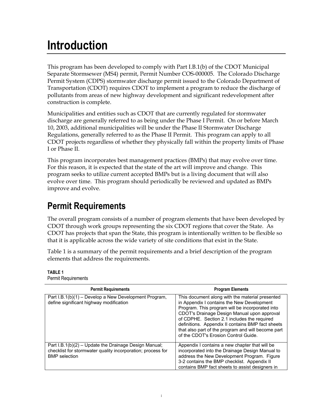## **Introduction**

This program has been developed to comply with Part I.B.1(b) of the CDOT Municipal Separate Stormsewer (MS4) permit, Permit Number COS-000005. The Colorado Discharge Permit System (CDPS) stormwater discharge permit issued to the Colorado Department of Transportation (CDOT) requires CDOT to implement a program to reduce the discharge of pollutants from areas of new highway development and significant redevelopment after construction is complete.

Municipalities and entities such as CDOT that are currently regulated for stormwater discharge are generally referred to as being under the Phase I Permit. On or before March 10, 2003, additional municipalities will be under the Phase II Stormwater Discharge Regulations, generally referred to as the Phase II Permit. This program can apply to all CDOT projects regardless of whether they physically fall within the property limits of Phase I or Phase II.

This program incorporates best management practices (BMPs) that may evolve over time. For this reason, it is expected that the state of the art will improve and change. This program seeks to utilize current accepted BMPs but is a living document that will also evolve over time. This program should periodically be reviewed and updated as BMPs improve and evolve.

## **Permit Requirements**

The overall program consists of a number of program elements that have been developed by CDOT through work groups representing the six CDOT regions that cover the State. As CDOT has projects that span the State, this program is intentionally written to be flexible so that it is applicable across the wide variety of site conditions that exist in the State.

Table 1 is a summary of the permit requirements and a brief description of the program elements that address the requirements.

| <b>Permit Requirements</b>                                                                                                                   | <b>Program Elements</b>                                                                                                                                                                                                                                                                                                                                                                           |
|----------------------------------------------------------------------------------------------------------------------------------------------|---------------------------------------------------------------------------------------------------------------------------------------------------------------------------------------------------------------------------------------------------------------------------------------------------------------------------------------------------------------------------------------------------|
| Part I.B.1(b)(1) - Develop a New Development Program,<br>define significant highway modification                                             | This document along with the material presented<br>in Appendix I contains the New Development<br>Program. This program will be incorporated into<br>CDOT's Drainage Design Manual upon approval<br>of CDPHE. Section 2.1 includes the required<br>definitions. Appendix II contains BMP fact sheets<br>that also part of the program and will become part<br>of the CDOT's Erosion Control Guide. |
| Part I.B.1(b)(2) – Update the Drainage Design Manual;<br>checklist for stormwater quality incorporation; process for<br><b>BMP</b> selection | Appendix I contains a new chapter that will be<br>incorporated into the Drainage Design Manual to<br>address the New Development Program. Figure<br>3-2 contains the BMP checklist. Appendix II<br>contains BMP fact sheets to assist designers in                                                                                                                                                |

**TABLE 1**  Permit Requirements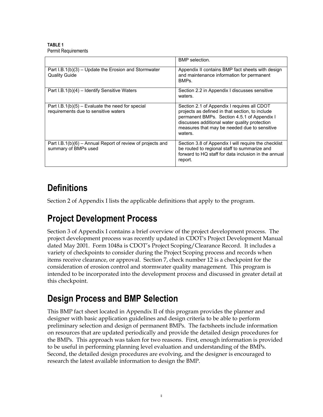**TABLE 1**  Permit Requirements

|                                                                                            | BMP selection.                                                                                                                                                                                                                                            |
|--------------------------------------------------------------------------------------------|-----------------------------------------------------------------------------------------------------------------------------------------------------------------------------------------------------------------------------------------------------------|
| Part $I.B.1(b)(3)$ – Update the Erosion and Stormwater<br><b>Quality Guide</b>             | Appendix II contains BMP fact sheets with design<br>and maintenance information for permanent<br>BMPs.                                                                                                                                                    |
| Part I.B.1(b)(4) – Identify Sensitive Waters                                               | Section 2.2 in Appendix I discusses sensitive<br>waters.                                                                                                                                                                                                  |
| Part $I.B.1(b)(5)$ – Evaluate the need for special<br>requirements due to sensitive waters | Section 2.1 of Appendix I requires all CDOT<br>projects as defined in that section, to include<br>permanent BMPs. Section 4.5.1 of Appendix I<br>discusses additional water quality protection<br>measures that may be needed due to sensitive<br>waters. |
| Part I.B.1(b)(6) – Annual Report of review of projects and<br>summary of BMPs used         | Section 3.8 of Appendix I will require the checklist<br>be routed to regional staff to summarize and<br>forward to HQ staff for data inclusion in the annual<br>report.                                                                                   |

## **Definitions**

Section 2 of Appendix I lists the applicable definitions that apply to the program.

## **Project Development Process**

Section 3 of Appendix I contains a brief overview of the project development process. The project development process was recently updated in CDOT's Project Development Manual dated May 2001. Form 1048a is CDOT's Project Scoping/Clearance Record. It includes a variety of checkpoints to consider during the Project Scoping process and records when items receive clearance, or approval. Section 7, check number 12 is a checkpoint for the consideration of erosion control and stormwater quality management. This program is intended to be incorporated into the development process and discussed in greater detail at this checkpoint.

## **Design Process and BMP Selection**

This BMP fact sheet located in Appendix II of this program provides the planner and designer with basic application guidelines and design criteria to be able to perform preliminary selection and design of permanent BMPs. The factsheets include information on resources that are updated periodically and provide the detailed design procedures for the BMPs. This approach was taken for two reasons. First, enough information is provided to be useful in performing planning level evaluation and understanding of the BMPs. Second, the detailed design procedures are evolving, and the designer is encouraged to research the latest available information to design the BMP.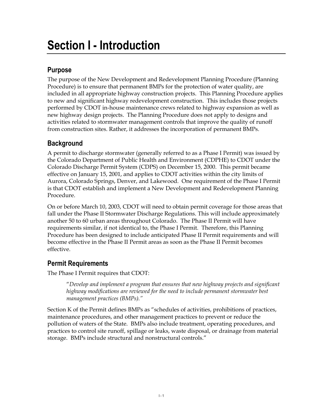## **Purpose**

The purpose of the New Development and Redevelopment Planning Procedure (Planning Procedure) is to ensure that permanent BMPs for the protection of water quality, are included in all appropriate highway construction projects. This Planning Procedure applies to new and significant highway redevelopment construction. This includes those projects performed by CDOT in-house maintenance crews related to highway expansion as well as new highway design projects. The Planning Procedure does not apply to designs and activities related to stormwater management controls that improve the quality of runoff from construction sites. Rather, it addresses the incorporation of permanent BMPs.

## **Background**

A permit to discharge stormwater (generally referred to as a Phase I Permit) was issued by the Colorado Department of Public Health and Environment (CDPHE) to CDOT under the Colorado Discharge Permit System (CDPS) on December 15, 2000. This permit became effective on January 15, 2001, and applies to CDOT activities within the city limits of Aurora, Colorado Springs, Denver, and Lakewood. One requirement of the Phase I Permit is that CDOT establish and implement a New Development and Redevelopment Planning Procedure.

On or before March 10, 2003, CDOT will need to obtain permit coverage for those areas that fall under the Phase II Stormwater Discharge Regulations. This will include approximately another 50 to 60 urban areas throughout Colorado. The Phase II Permit will have requirements similar, if not identical to, the Phase I Permit. Therefore, this Planning Procedure has been designed to include anticipated Phase II Permit requirements and will become effective in the Phase II Permit areas as soon as the Phase II Permit becomes effective.

## **Permit Requirements**

The Phase I Permit requires that CDOT:

"*Develop and implement a program that ensures that new highway projects and significant highway modifications are reviewed for the need to include permanent stormwater best management practices (BMPs)."* 

Section K of the Permit defines BMPs as "schedules of activities, prohibitions of practices, maintenance procedures, and other management practices to prevent or reduce the pollution of waters of the State. BMPs also include treatment, operating procedures, and practices to control site runoff, spillage or leaks, waste disposal, or drainage from material storage. BMPs include structural and nonstructural controls."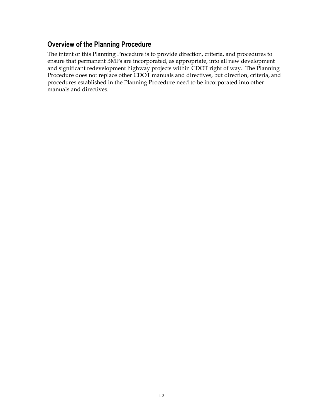## **Overview of the Planning Procedure**

The intent of this Planning Procedure is to provide direction, criteria, and procedures to ensure that permanent BMPs are incorporated, as appropriate, into all new development and significant redevelopment highway projects within CDOT right of way. The Planning Procedure does not replace other CDOT manuals and directives, but direction, criteria, and procedures established in the Planning Procedure need to be incorporated into other manuals and directives.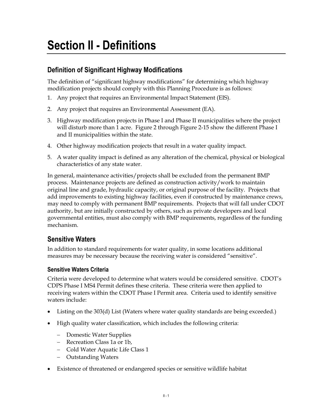## **Section II - Definitions**

## **Definition of Significant Highway Modifications**

The definition of "significant highway modifications" for determining which highway modification projects should comply with this Planning Procedure is as follows:

- 1. Any project that requires an Environmental Impact Statement (EIS).
- 2. Any project that requires an Environmental Assessment (EA).
- 3. Highway modification projects in Phase I and Phase II municipalities where the project will disturb more than 1 acre. Figure 2 through Figure 2-15 show the different Phase I and II municipalities within the state.
- 4. Other highway modification projects that result in a water quality impact.
- 5. A water quality impact is defined as any alteration of the chemical, physical or biological characteristics of any state water.

In general, maintenance activities/projects shall be excluded from the permanent BMP process. Maintenance projects are defined as construction activity/work to maintain original line and grade, hydraulic capacity, or original purpose of the facility. Projects that add improvements to existing highway facilities, even if constructed by maintenance crews, may need to comply with permanent BMP requirements. Projects that will fall under CDOT authority, but are initially constructed by others, such as private developers and local governmental entities, must also comply with BMP requirements, regardless of the funding mechanism.

### **Sensitive Waters**

In addition to standard requirements for water quality, in some locations additional measures may be necessary because the receiving water is considered "sensitive".

### **Sensitive Waters Criteria**

Criteria were developed to determine what waters would be considered sensitive. CDOT's CDPS Phase I MS4 Permit defines these criteria. These criteria were then applied to receiving waters within the CDOT Phase I Permit area. Criteria used to identify sensitive waters include:

- Listing on the 303(d) List (Waters where water quality standards are being exceeded.)
- High quality water classification, which includes the following criteria:
	- − Domestic Water Supplies
	- − Recreation Class 1a or 1b,
	- − Cold Water Aquatic Life Class 1
	- − Outstanding Waters
- Existence of threatened or endangered species or sensitive wildlife habitat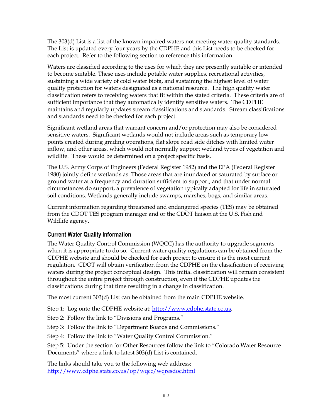The 303(d) List is a list of the known impaired waters not meeting water quality standards. The List is updated every four years by the CDPHE and this List needs to be checked for each project. Refer to the following section to reference this information.

Waters are classified according to the uses for which they are presently suitable or intended to become suitable. These uses include potable water supplies, recreational activities, sustaining a wide variety of cold water biota, and sustaining the highest level of water quality protection for waters designated as a national resource. The high quality water classification refers to receiving waters that fit within the stated criteria. These criteria are of sufficient importance that they automatically identify sensitive waters. The CDPHE maintains and regularly updates stream classifications and standards. Stream classifications and standards need to be checked for each project.

Significant wetland areas that warrant concern and/or protection may also be considered sensitive waters. Significant wetlands would not include areas such as temporary low points created during grading operations, flat slope road side ditches with limited water inflow, and other areas, which would not normally support wetland types of vegetation and wildlife. These would be determined on a project specific basis.

The U.S. Army Corps of Engineers (Federal Register 1982) and the EPA (Federal Register 1980) jointly define wetlands as: Those areas that are inundated or saturated by surface or ground water at a frequency and duration sufficient to support, and that under normal circumstances do support, a prevalence of vegetation typically adapted for life in saturated soil conditions. Wetlands generally include swamps, marshes, bogs, and similar areas.

Current information regarding threatened and endangered species (TES) may be obtained from the CDOT TES program manager and or the CDOT liaison at the U.S. Fish and Wildlife agency.

### **Current Water Quality Information**

The Water Quality Control Commission (WQCC) has the authority to upgrade segments when it is appropriate to do so. Current water quality regulations can be obtained from the CDPHE website and should be checked for each project to ensure it is the most current regulation. CDOT will obtain verification from the CDPHE on the classification of receiving waters during the project conceptual design. This initial classification will remain consistent throughout the entire project through construction, even if the CDPHE updates the classifications during that time resulting in a change in classification.

The most current 303(d) List can be obtained from the main CDPHE website.

Step 1: Log onto the CDPHE website at: http://www.cdphe.state.co.us.

Step 2: Follow the link to "Divisions and Programs."

Step 3: Follow the link to "Department Boards and Commissions."

Step 4: Follow the link to "Water Quality Control Commission."

Step 5: Under the section for Other Resources follow the link to "Colorado Water Resource Documents" where a link to latest 303(d) List is contained.

The links should take you to the following web address: http://www.cdphe.state.co.us/op/wqcc/wqresdoc.html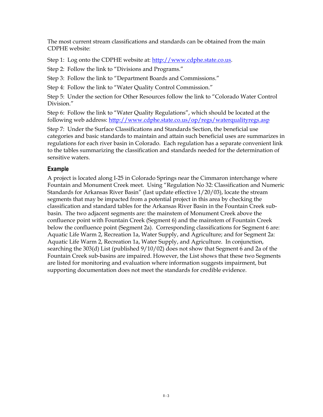The most current stream classifications and standards can be obtained from the main CDPHE website:

Step 1: Log onto the CDPHE website at: http://www.cdphe.state.co.us.

Step 2: Follow the link to "Divisions and Programs."

Step 3: Follow the link to "Department Boards and Commissions."

Step 4: Follow the link to "Water Quality Control Commission."

Step 5: Under the section for Other Resources follow the link to "Colorado Water Control Division."

Step 6: Follow the link to "Water Quality Regulations", which should be located at the following web address: http://www.cdphe.state.co.us/op/regs/waterqualityregs.asp

Step 7: Under the Surface Classifications and Standards Section, the beneficial use categories and basic standards to maintain and attain such beneficial uses are summarizes in regulations for each river basin in Colorado. Each regulation has a separate convenient link to the tables summarizing the classification and standards needed for the determination of sensitive waters.

### **Example**

A project is located along I-25 in Colorado Springs near the Cimmaron interchange where Fountain and Monument Creek meet. Using "Regulation No 32: Classification and Numeric Standards for Arkansas River Basin" (last update effective 1/20/03), locate the stream segments that may be impacted from a potential project in this area by checking the classification and standard tables for the Arkansas River Basin in the Fountain Creek subbasin. The two adjacent segments are: the mainstem of Monument Creek above the confluence point with Fountain Creek (Segment 6) and the mainstem of Fountain Creek below the confluence point (Segment 2a). Corresponding classifications for Segment 6 are: Aquatic Life Warm 2, Recreation 1a, Water Supply, and Agriculture; and for Segment 2a: Aquatic Life Warm 2, Recreation 1a, Water Supply, and Agriculture. In conjunction, searching the 303(d) List (published 9/10/02) does not show that Segment 6 and 2a of the Fountain Creek sub-basins are impaired. However, the List shows that these two Segments are listed for monitoring and evaluation where information suggests impairment, but supporting documentation does not meet the standards for credible evidence.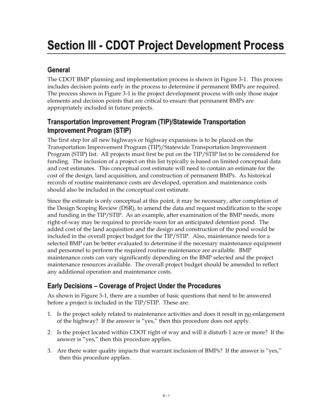# **Section III - CDOT Project Development Process**

## **General**

The CDOT BMP planning and implementation process is shown in Figure 3-1. This process includes decision points early in the process to determine if permanent BMPs are required. The process shown in Figure 3-1 is the project development process with only those major elements and decision points that are critical to ensure that permanent BMPs are appropriately included in future projects.

## **Transportation Improvement Program (TIP)/Statewide Transportation Improvement Program (STIP)**

The first step for all new highways or highway expansions is to be placed on the Transportation Improvement Program (TIP)/Statewide Transportation Improvement Program (STIP) list. All projects must first be put on the TIP/STIP list to be considered for funding. The inclusion of a project on this list typically is based on limited conceptual data and cost estimates. This conceptual cost estimate will need to contain an estimate for the cost of the design, land acquisition, and construction of permanent BMPs. As historical records of routine maintenance costs are developed, operation and maintenance costs should also be included in the conceptual cost estimate.

Since the estimate is only conceptual at this point, it may be necessary, after completion of the Design Scoping Review (DSR), to amend the data and request modification to the scope and funding in the TIP/STIP. As an example, after examination of the BMP needs, more right-of-way may be required to provide room for an anticipated detention pond. The added cost of the land acquisition and the design and construction of the pond would be included in the overall project budget for the TIP/STIP. Also, maintenance needs for a selected BMP can be better evaluated to determine if the necessary maintenance equipment and personnel to perform the required routine maintenance are available. BMP maintenance costs can vary significantly depending on the BMP selected and the project maintenance resources available. The overall project budget should be amended to reflect any additional operation and maintenance costs.

## **Early Decisions – Coverage of Project Under the Procedures**

As shown in Figure 3-1, there are a number of basic questions that need to be answered before a project is included in the TIP/STIP. These are:

- 1. Is the project solely related to maintenance activities and does it result in no enlargement of the highway? If the answer is "yes," then this procedure does not apply.
- 2. Is the project located within CDOT right of way and will it disturb 1 acre or more? If the answer is "yes," then this procedure applies.
- 3. Are there water quality impacts that warrant inclusion of BMPs? If the answer is "yes," then this procedure applies.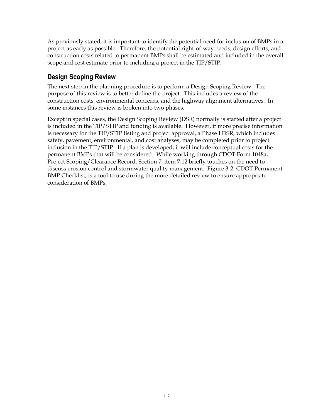As previously stated, it is important to identify the potential need for inclusion of BMPs in a project as early as possible. Therefore, the potential right-of-way needs, design efforts, and construction costs related to permanent BMPs shall be estimated and included in the overall scope and cost estimate prior to including a project in the TIP/STIP.

### **Design Scoping Review**

The next step in the planning procedure is to perform a Design Scoping Review. The purpose of this review is to better define the project. This includes a review of the construction costs, environmental concerns, and the highway alignment alternatives. In some instances this review is broken into two phases.

Except in special cases, the Design Scoping Review (DSR) normally is started after a project is included in the TIP/STIP and funding is available. However, if more precise information is necessary for the TIP/STIP listing and project approval, a Phase I DSR, which includes safety, pavement, environmental, and cost analyses, may be completed prior to project inclusion in the TIP/STIP. If a plan is developed, it will include conceptual costs for the permanent BMPs that will be considered. While working through CDOT Form 1048a, Project Scoping/Clearance Record, Section 7, item 7.12 briefly touches on the need to discuss erosion control and stormwater quality management. Figure 3-2, CDOT Permanent BMP Checklist, is a tool to use during the more detailed review to ensure appropriate consideration of BMPs.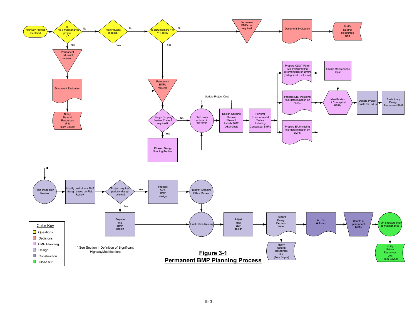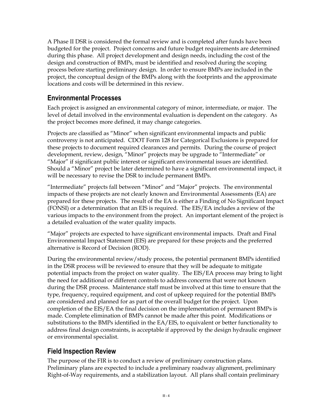A Phase II DSR is considered the formal review and is completed after funds have been budgeted for the project. Project concerns and future budget requirements are determined during this phase. All project development and design needs, including the cost of the design and construction of BMPs, must be identified and resolved during the scoping process before starting preliminary design. In order to ensure BMPs are included in the project, the conceptual design of the BMPs along with the footprints and the approximate locations and costs will be determined in this review.

## **Environmental Processes**

Each project is assigned an environmental category of minor, intermediate, or major. The level of detail involved in the environmental evaluation is dependent on the category. As the project becomes more defined, it may change categories.

Projects are classified as "Minor" when significant environmental impacts and public controversy is not anticipated. CDOT Form 128 for Categorical Exclusions is prepared for these projects to document required clearances and permits. During the course of project development, review, design, "Minor" projects may be upgrade to "Intermediate" or "Major" if significant public interest or significant environmental issues are identified. Should a "Minor" project be later determined to have a significant environmental impact, it will be necessary to revise the DSR to include permanent BMPs.

"Intermediate" projects fall between "Minor" and "Major" projects. The environmental impacts of these projects are not clearly known and Environmental Assessments (EA) are prepared for these projects. The result of the EA is either a Finding of No Significant Impact (FONSI) or a determination that an EIS is required. The EIS/EA includes a review of the various impacts to the environment from the project. An important element of the project is a detailed evaluation of the water quality impacts.

"Major" projects are expected to have significant environmental impacts. Draft and Final Environmental Impact Statement (EIS) are prepared for these projects and the preferred alternative is Record of Decision (ROD).

During the environmental review/study process, the potential permanent BMPs identified in the DSR process will be reviewed to ensure that they will be adequate to mitigate potential impacts from the project on water quality. The EIS/EA process may bring to light the need for additional or different controls to address concerns that were not known during the DSR process. Maintenance staff must be involved at this time to ensure that the type, frequency, required equipment, and cost of upkeep required for the potential BMPs are considered and planned for as part of the overall budget for the project. Upon completion of the EIS/EA the final decision on the implementation of permanent BMPs is made. Complete elimination of BMPs cannot be made after this point. Modifications or substitutions to the BMPs identified in the EA/EIS, to equivalent or better functionality to address final design constraints, is acceptable if approved by the design hydraulic engineer or environmental specialist.

## **Field Inspection Review**

The purpose of the FIR is to conduct a review of preliminary construction plans. Preliminary plans are expected to include a preliminary roadway alignment, preliminary Right-of-Way requirements, and a stabilization layout. All plans shall contain preliminary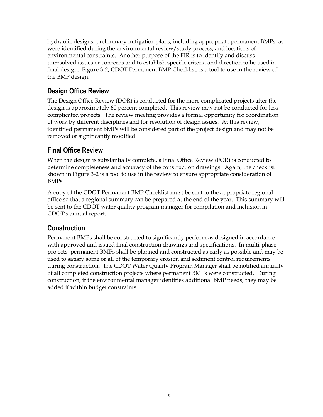hydraulic designs, preliminary mitigation plans, including appropriate permanent BMPs, as were identified during the environmental review/study process, and locations of environmental constraints. Another purpose of the FIR is to identify and discuss unresolved issues or concerns and to establish specific criteria and direction to be used in final design. Figure 3-2, CDOT Permanent BMP Checklist, is a tool to use in the review of the BMP design.

## **Design Office Review**

The Design Office Review (DOR) is conducted for the more complicated projects after the design is approximately 60 percent completed. This review may not be conducted for less complicated projects. The review meeting provides a formal opportunity for coordination of work by different disciplines and for resolution of design issues. At this review, identified permanent BMPs will be considered part of the project design and may not be removed or significantly modified.

## **Final Office Review**

When the design is substantially complete, a Final Office Review (FOR) is conducted to determine completeness and accuracy of the construction drawings. Again, the checklist shown in Figure 3-2 is a tool to use in the review to ensure appropriate consideration of BMPs.

A copy of the CDOT Permanent BMP Checklist must be sent to the appropriate regional office so that a regional summary can be prepared at the end of the year. This summary will be sent to the CDOT water quality program manager for compilation and inclusion in CDOT's annual report.

## **Construction**

Permanent BMPs shall be constructed to significantly perform as designed in accordance with approved and issued final construction drawings and specifications. In multi-phase projects, permanent BMPs shall be planned and constructed as early as possible and may be used to satisfy some or all of the temporary erosion and sediment control requirements during construction. The CDOT Water Quality Program Manager shall be notified annually of all completed construction projects where permanent BMPs were constructed. During construction, if the environmental manager identifies additional BMP needs, they may be added if within budget constraints.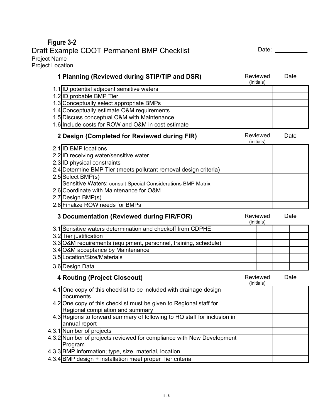**Figure 3-2**  Draft Example CDOT Permanent BMP Checklist Date: Date: Date: \_\_\_\_\_\_\_ Project Name Project Location **1 Planning (Reviewed during STIP/TIP and DSR)** Reviewed (initials) Date 1.1 ID potential adjacent sensitive waters 1.2 ID probable BMP Tier 1.3 Conceptually select appropriate BMPs 1.4 Conceptually estimate O&M requirements 1.5 Discuss conceptual O&M with Maintenance 1.6 Include costs for ROW and O&M in cost estimate **2 Design (Completed for Reviewed during FIR)** Reviewed (initials) **Date** 2.1 ID BMP locations 2.2 ID receiving water/sensitive water 2.3 ID physical constraints 2.4 Determine BMP Tier (meets pollutant removal design criteria) 2.5 Select BMP(s) Sensitive Waters: consult Special Considerations BMP Matrix 2.6 Coordinate with Maintenance for O&M 2.7 Design BMP(s) 2.8 Finalize ROW needs for BMPs **3 Documentation (Reviewed during FIR/FOR)** Reviewed (initials) **Date** 3.1 Sensitive waters determination and checkoff from CDPHE 3.2 Tier justification 3.3 O&M requirements (equipment, personnel, training, schedule) 3.4 O&M acceptance by Maintenance 3.5 Location/Size/Materials 3.6 Design Data **4 Routing (Project Closeout) Reviewed Reviewed** (initials) **Date** 4.1 One copy of this checklist to be included with drainage design documents 4.2 One copy of this checklist must be given to Regional staff for Regional compilation and summary 4.3 Regions to forward summary of following to HQ staff for inclusion in annual report 4.3.1 Number of projects 4.3.2 Number of projects reviewed for compliance with New Development Program 4.3.3 BMP information; type, size, material, location 4.3.4 BMP design + installation meet proper Tier criteria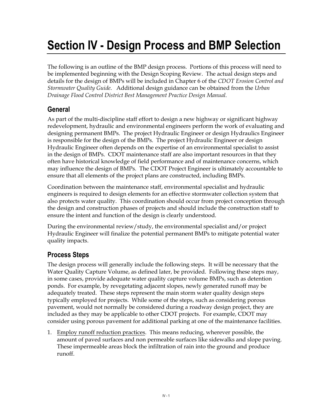# **Section IV - Design Process and BMP Selection**

The following is an outline of the BMP design process. Portions of this process will need to be implemented beginning with the Design Scoping Review. The actual design steps and details for the design of BMPs will be included in Chapter 6 of the *CDOT Erosion Control and Stormwater Quality Guide*. Additional design guidance can be obtained from the *Urban Drainage Flood Control District Best Management Practice Design Manual*.

## **General**

As part of the multi-discipline staff effort to design a new highway or significant highway redevelopment, hydraulic and environmental engineers perform the work of evaluating and designing permanent BMPs. The project Hydraulic Engineer or design Hydraulics Engineer is responsible for the design of the BMPs. The project Hydraulic Engineer or design Hydraulic Engineer often depends on the expertise of an environmental specialist to assist in the design of BMPs. CDOT maintenance staff are also important resources in that they often have historical knowledge of field performance and of maintenance concerns, which may influence the design of BMPs. The CDOT Project Engineer is ultimately accountable to ensure that all elements of the project plans are constructed, including BMPs.

Coordination between the maintenance staff, environmental specialist and hydraulic engineers is required to design elements for an effective stormwater collection system that also protects water quality. This coordination should occur from project conception through the design and construction phases of projects and should include the construction staff to ensure the intent and function of the design is clearly understood.

During the environmental review/study, the environmental specialist and/or project Hydraulic Engineer will finalize the potential permanent BMPs to mitigate potential water quality impacts.

### **Process Steps**

The design process will generally include the following steps. It will be necessary that the Water Quality Capture Volume, as defined later, be provided. Following these steps may, in some cases, provide adequate water quality capture volume BMPs, such as detention ponds. For example, by revegetating adjacent slopes, newly generated runoff may be adequately treated. These steps represent the main storm water quality design steps typically employed for projects. While some of the steps, such as considering porous pavement, would not normally be considered during a roadway design project, they are included as they may be applicable to other CDOT projects. For example, CDOT may consider using porous pavement for additional parking at one of the maintenance facilities.

1. Employ runoff reduction practices. This means reducing, wherever possible, the amount of paved surfaces and non permeable surfaces like sidewalks and slope paving. These impermeable areas block the infiltration of rain into the ground and produce runoff.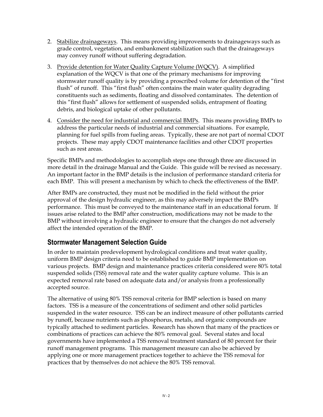- 2. Stabilize drainageways. This means providing improvements to drainageways such as grade control, vegetation, and embankment stabilization such that the drainageways may convey runoff without suffering degradation.
- 3. Provide detention for Water Quality Capture Volume (WQCV). A simplified explanation of the WQCV is that one of the primary mechanisms for improving stormwater runoff quality is by providing a proscribed volume for detention of the "first flush" of runoff. This "first flush" often contains the main water quality degrading constituents such as sediments, floating and dissolved contaminates. The detention of this "first flush" allows for settlement of suspended solids, entrapment of floating debris, and biological uptake of other pollutants.
- 4. Consider the need for industrial and commercial BMPs. This means providing BMPs to address the particular needs of industrial and commercial situations. For example, planning for fuel spills from fueling areas. Typically, these are not part of normal CDOT projects. These may apply CDOT maintenance facilities and other CDOT properties such as rest areas.

Specific BMPs and methodologies to accomplish steps one through three are discussed in more detail in the drainage Manual and the Guide. This guide will be revised as necessary. An important factor in the BMP details is the inclusion of performance standard criteria for each BMP. This will present a mechanism by which to check the effectiveness of the BMP.

After BMPs are constructed, they must not be modified in the field without the prior approval of the design hydraulic engineer, as this may adversely impact the BMPs performance. This must be conveyed to the maintenance staff in an educational forum. If issues arise related to the BMP after construction, modifications may not be made to the BMP without involving a hydraulic engineer to ensure that the changes do not adversely affect the intended operation of the BMP.

### **Stormwater Management Selection Guide**

In order to maintain predevelopment hydrological conditions and treat water quality, uniform BMP design criteria need to be established to guide BMP implementation on various projects. BMP design and maintenance practices criteria considered were 80% total suspended solids (TSS) removal rate and the water quality capture volume. This is an expected removal rate based on adequate data and/or analysis from a professionally accepted source.

The alternative of using 80% TSS removal criteria for BMP selection is based on many factors. TSS is a measure of the concentrations of sediment and other solid particles suspended in the water resource. TSS can be an indirect measure of other pollutants carried by runoff, because nutrients such as phosphorus, metals, and organic compounds are typically attached to sediment particles. Research has shown that many of the practices or combinations of practices can achieve the 80% removal goal. Several states and local governments have implemented a TSS removal treatment standard of 80 percent for their runoff management programs. This management measure can also be achieved by applying one or more management practices together to achieve the TSS removal for practices that by themselves do not achieve the 80% TSS removal.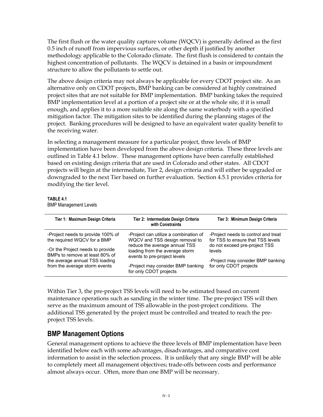The first flush or the water quality capture volume (WQCV) is generally defined as the first 0.5 inch of runoff from impervious surfaces, or other depth if justified by another methodology applicable to the Colorado climate. The first flush is considered to contain the highest concentration of pollutants. The WQCV is detained in a basin or impoundment structure to allow the pollutants to settle out.

The above design criteria may not always be applicable for every CDOT project site. As an alternative only on CDOT projects, BMP banking can be considered at highly constrained project sites that are not suitable for BMP implementation. BMP banking takes the required BMP implementation level at a portion of a project site or at the whole site, if it is small enough, and applies it to a more suitable site along the same waterbody with a specified mitigation factor. The mitigation sites to be identified during the planning stages of the project. Banking procedures will be designed to have an equivalent water quality benefit to the receiving water.

In selecting a management measure for a particular project, three levels of BMP implementation have been developed from the above design criteria. These three levels are outlined in Table 4.1 below. These management options have been carefully established based on existing design criteria that are used in Colorado and other states. All CDOT projects will begin at the intermediate, Tier 2, design criteria and will either be upgraded or downgraded to the next Tier based on further evaluation. Section 4.5.1 provides criteria for modifying the tier level.

### **TABLE 4.1**

BMP Management Levels

| Tier 1: Maximum Design Criteria                                                                      | Tier 2: Intermediate Design Criteria<br>with Constraints                                                 | Tier 3: Minimum Design Criteria                                                                           |
|------------------------------------------------------------------------------------------------------|----------------------------------------------------------------------------------------------------------|-----------------------------------------------------------------------------------------------------------|
| -Project needs to provide 100% of<br>the required WQCV for a BMP                                     | -Project can utilize a combination of<br>WQCV and TSS design removal to<br>reduce the average annual TSS | -Project needs to control and treat<br>for TSS to ensure that TSS levels<br>do not exceed pre-project TSS |
| -Or the Project needs to provide<br>BMPs to remove at least 80% of<br>the average annual TSS loading | loading from the average storm<br>events to pre-project levels                                           | levels<br>-Project may consider BMP banking                                                               |
| from the average storm events                                                                        | -Project may consider BMP banking<br>for only CDOT projects                                              | for only CDOT projects                                                                                    |

Within Tier 3, the pre-project TSS levels will need to be estimated based on current maintenance operations such as sanding in the winter time. The pre-project TSS will then serve as the maximum amount of TSS allowable in the post-project conditions. The additional TSS generated by the project must be controlled and treated to reach the preproject TSS levels.

### **BMP Management Options**

General management options to achieve the three levels of BMP implementation have been identified below each with some advantages, disadvantages, and comparative cost information to assist in the selection process. It is unlikely that any single BMP will be able to completely meet all management objectives; trade-offs between costs and performance almost always occur. Often, more than one BMP will be necessary.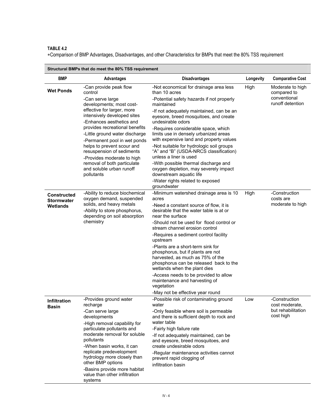∗Comparison of BMP Advantages, Disadvantages, and other Characteristics for BMPs that meet the 80% TSS requirement

| <b>BMP</b>                                          | <b>Advantages</b>                                                                                                                                                                                                                                                                                                                                                                                                                                | <b>Disadvantages</b>                                                                                                                                                                                                                                                                                                                                                                                                                                                                                                                                                                                                                   | Longevity | <b>Comparative Cost</b>                                             |
|-----------------------------------------------------|--------------------------------------------------------------------------------------------------------------------------------------------------------------------------------------------------------------------------------------------------------------------------------------------------------------------------------------------------------------------------------------------------------------------------------------------------|----------------------------------------------------------------------------------------------------------------------------------------------------------------------------------------------------------------------------------------------------------------------------------------------------------------------------------------------------------------------------------------------------------------------------------------------------------------------------------------------------------------------------------------------------------------------------------------------------------------------------------------|-----------|---------------------------------------------------------------------|
| <b>Wet Ponds</b>                                    | -Can provide peak flow<br>control<br>-Can serve large<br>developments; most cost-<br>effective for larger, more<br>intensively developed sites<br>-Enhances aesthetics and<br>provides recreational benefits<br>-Little ground water discharge<br>-Permanent pool in wet ponds<br>helps to prevent scour and<br>resuspension of sediments<br>-Provides moderate to high<br>removal of both particulate<br>and soluble urban runoff<br>pollutants | -Not economical for drainage area less<br>than 10 acres<br>-Potential safety hazards if not properly<br>maintained<br>-If not adequately maintained, can be an<br>eyesore, breed mosquitoes, and create<br>undesirable odors<br>-Requires considerable space, which<br>limits use in densely urbanized areas<br>with expensive land and property values<br>-Not suitable for hydrologic soil groups<br>"A" and "B" (USDA-NRCS classification)<br>unless a liner is used<br>-With possible thermal discharge and<br>oxygen depletion, may severely impact<br>downstream aquatic life<br>-Water rights related to exposed<br>groundwater | High      | Moderate to high<br>compared to<br>conventional<br>runoff detention |
| <b>Constructed</b><br><b>Stormwater</b><br>Wetlands | -Ability to reduce biochemical<br>oxygen demand, suspended<br>solids, and heavy metals<br>-Ability to store phosphorus,<br>depending on soil absorption<br>chemistry                                                                                                                                                                                                                                                                             | -Minimum watershed drainage area is 10<br>acres<br>-Need a constant source of flow, it is<br>desirable that the water table is at or<br>near the surface<br>-Should not be used for flood control or<br>stream channel erosion control<br>-Requires a sediment control facility<br>upstream<br>-Plants are a short-term sink for<br>phosphorus, but if plants are not<br>harvested, as much as 75% of the<br>phosphorus can be released back to the<br>wetlands when the plant dies<br>-Access needs to be provided to allow<br>maintenance and harvesting of<br>vegetation<br>-May not be effective year round                        | High      | -Construction<br>costs are<br>moderate to high                      |
| Infiltration<br>Basin                               | -Provides ground water<br>recharge<br>-Can serve large<br>developments<br>-High removal capability for<br>particulate pollutants and<br>moderate removal for soluble<br>pollutants<br>-When basin works, it can<br>replicate predevelopment<br>hydrology more closely than<br>other BMP options<br>-Basins provide more habitat<br>value than other infiltration<br>systems                                                                      | -Possible risk of contaminating ground<br>water<br>-Only feasible where soil is permeable<br>and there is sufficient depth to rock and<br>water table<br>-Fairly high failure rate<br>-If not adequately maintained, can be<br>and eyesore, breed mosquitoes, and<br>create undesirable odors<br>-Regular maintenance activities cannot<br>prevent rapid clogging of<br>infiltration basin                                                                                                                                                                                                                                             | Low       | -Construction<br>cost moderate,<br>but rehabilitation<br>cost high  |

**Structural BMPs that do meet the 80% TSS requirement**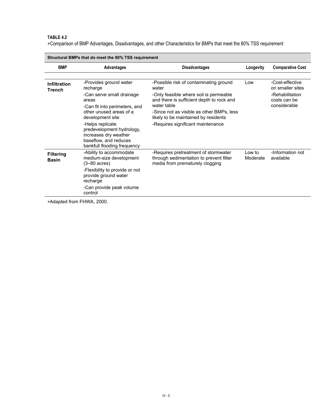∗Comparison of BMP Advantages, Disadvantages, and other Characteristics for BMPs that meet the 80% TSS requirement

| 30 detural Bivir's that do meet the 60% 133 requirement |                                                                                                                                                                                                                                                                                            |                                                                                                                                                                                                                                                                                 |                    |                                                                                        |  |
|---------------------------------------------------------|--------------------------------------------------------------------------------------------------------------------------------------------------------------------------------------------------------------------------------------------------------------------------------------------|---------------------------------------------------------------------------------------------------------------------------------------------------------------------------------------------------------------------------------------------------------------------------------|--------------------|----------------------------------------------------------------------------------------|--|
| <b>BMP</b>                                              | Advantages                                                                                                                                                                                                                                                                                 | <b>Disadvantages</b>                                                                                                                                                                                                                                                            | Longevity          | <b>Comparative Cost</b>                                                                |  |
|                                                         |                                                                                                                                                                                                                                                                                            |                                                                                                                                                                                                                                                                                 |                    |                                                                                        |  |
| <b>Infiltration</b><br><b>Trench</b>                    | -Provides ground water<br>recharge<br>-Can serve small drainage<br>areas<br>-Can fit into perimeters, and<br>other unused areas of a<br>development site<br>-Helps replicate<br>predevelopment hydrology,<br>increases dry weather<br>baseflow, and reduces<br>bankfull flooding frequency | -Possible risk of contaminating ground<br>water<br>-Only feasible where soil is permeable<br>and there is sufficient depth to rock and<br>water table<br>-Since not as visible as other BMPs, less<br>likely to be maintained by residents<br>-Requires significant maintenance | Low                | -Cost-effective<br>on smaller sites<br>-Rehabilitation<br>costs can be<br>considerable |  |
| <b>Filtering</b><br><b>Basin</b>                        | -Ability to accommodate<br>medium-size development<br>$(3-80 \text{ acres})$<br>-Flexibility to provide or not<br>provide ground water<br>recharge<br>-Can provide peak volume<br>control                                                                                                  | -Requires pretreatment of stormwater<br>through sedimentation to prevent filter<br>media from prematurely clogging                                                                                                                                                              | Low to<br>Moderate | -Information not<br>available                                                          |  |

**Structural BMPs that do meet the 80% TSS requirement** 

∗Adapted from FHWA, 2000.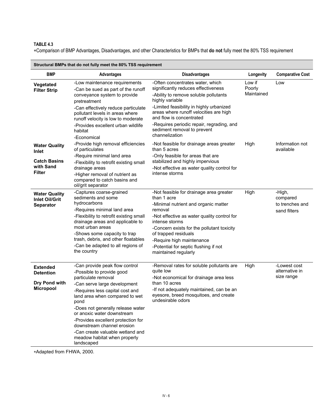∗Comparison of BMP Advantages, Disadvantages, and other Characteristics for BMPs that **do not** fully meet the 80% TSS requirement

| <u>on actural Diviris that ao hot luny meet the 0070 TOO requirement</u>           |                                                                                                                                                                                                                                                                                                                                                                                                                          |                                                                                                                                                                                                                                                                                                                                                |                                       |                                                       |  |
|------------------------------------------------------------------------------------|--------------------------------------------------------------------------------------------------------------------------------------------------------------------------------------------------------------------------------------------------------------------------------------------------------------------------------------------------------------------------------------------------------------------------|------------------------------------------------------------------------------------------------------------------------------------------------------------------------------------------------------------------------------------------------------------------------------------------------------------------------------------------------|---------------------------------------|-------------------------------------------------------|--|
| <b>BMP</b>                                                                         | <b>Advantages</b>                                                                                                                                                                                                                                                                                                                                                                                                        | <b>Disadvantages</b>                                                                                                                                                                                                                                                                                                                           | Longevity                             | <b>Comparative Cost</b>                               |  |
| Vegetated<br><b>Filter Strip</b>                                                   | -Low maintenance requirements<br>-Can be sued as part of the runoff<br>conveyance system to provide<br>pretreatment<br>-Can effectively reduce particulate<br>pollutant levels in areas where<br>runoff velocity is low to moderate                                                                                                                                                                                      | -Often concentrates water, which<br>significantly reduces effectiveness<br>-Ability to remove soluble pollutants<br>highly variable<br>-Limited feasibility in highly urbanized<br>areas where runoff velocities are high<br>and flow is concentrated<br>-Requires periodic repair, regrading, and                                             | Low if<br><b>Poorly</b><br>Maintained | Low                                                   |  |
|                                                                                    | -Provides excellent urban wildlife<br>habitat<br>-Economical                                                                                                                                                                                                                                                                                                                                                             | sediment removal to prevent<br>channelization                                                                                                                                                                                                                                                                                                  |                                       | Information not                                       |  |
| <b>Water Quality</b><br>Inlet<br><b>Catch Basins</b><br>with Sand<br><b>Filter</b> | -Provide high removal efficiencies<br>of particulates<br>-Require minimal land area<br>-Flexibility to retrofit existing small<br>drainage areas<br>-Higher removal of nutrient as<br>compared to catch basins and<br>oil/grit separator                                                                                                                                                                                 | -Not feasible for drainage areas greater<br>than 5 acres<br>-Only feasible for areas that are<br>stabilized and highly impervious<br>-Not effective as water quality control for<br>intense storms                                                                                                                                             | High                                  | available                                             |  |
| <b>Water Quality</b><br><b>Inlet Oil/Grit</b><br><b>Separator</b>                  | -Captures coarse-grained<br>sediments and some<br>hydrocarbons<br>-Requires minimal land area<br>-Flexibility to retrofit existing small<br>drainage areas and applicable to<br>most urban areas<br>-Shows some capacity to trap<br>trash, debris, and other floatables<br>-Can be adapted to all regions of<br>the country                                                                                              | -Not feasible for drainage area greater<br>than 1 acre<br>-Minimal nutrient and organic matter<br>removal<br>-Not effective as water quality control for<br>intense storms<br>-Concern exists for the pollutant toxicity<br>of trapped residuals<br>-Require high maintenance<br>-Potential for septic flushing if not<br>maintained regularly | High                                  | -High,<br>compared<br>to trenches and<br>sand filters |  |
| <b>Extended</b><br><b>Detention</b><br>Dry Pond with<br><b>Micropool</b>           | -Can provide peak flow control<br>-Possible to provide good<br>particulate removal<br>-Can serve large development<br>-Requires less capital cost and<br>land area when compared to wet<br>pond<br>-Does not generally release water<br>or anoxic water downstream<br>-Provides excellent protection for<br>downstream channel erosion<br>-Can create valuable wetland and<br>meadow habitat when properly<br>landscaped | -Removal rates for soluble pollutants are<br>quite low<br>-Not economical for drainage area less<br>than 10 acres<br>-If not adequately maintained, can be an<br>eyesore, breed mosquitoes, and create<br>undesirable odors                                                                                                                    | High                                  | -Lowest cost<br>alternative in<br>size range          |  |

**Structural BMPs that do not fully meet the 80% TSS requirement** 

∗Adapted from FHWA, 2000.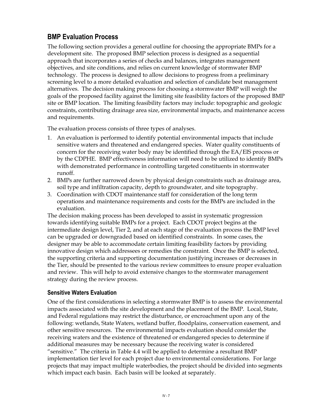## **BMP Evaluation Process**

The following section provides a general outline for choosing the appropriate BMPs for a development site. The proposed BMP selection process is designed as a sequential approach that incorporates a series of checks and balances, integrates management objectives, and site conditions, and relies on current knowledge of stormwater BMP technology. The process is designed to allow decisions to progress from a preliminary screening level to a more detailed evaluation and selection of candidate best management alternatives. The decision making process for choosing a stormwater BMP will weigh the goals of the proposed facility against the limiting site feasibility factors of the proposed BMP site or BMP location. The limiting feasibility factors may include: topographic and geologic constraints, contributing drainage area size, environmental impacts, and maintenance access and requirements.

The evaluation process consists of three types of analyses.

- 1. An evaluation is performed to identify potential environmental impacts that include sensitive waters and threatened and endangered species. Water quality constituents of concern for the receiving water body may be identified through the EA/EIS process or by the CDPHE. BMP effectiveness information will need to be utilized to identify BMPs with demonstrated performance in controlling targeted constituents in stormwater runoff.
- 2. BMPs are further narrowed down by physical design constraints such as drainage area, soil type and infiltration capacity, depth to groundwater, and site topography.
- 3. Coordination with CDOT maintenance staff for consideration of the long term operations and maintenance requirements and costs for the BMPs are included in the evaluation.

The decision making process has been developed to assist in systematic progression towards identifying suitable BMPs for a project. Each CDOT project begins at the intermediate design level, Tier 2, and at each stage of the evaluation process the BMP level can be upgraded or downgraded based on identified constraints. In some cases, the designer may be able to accommodate certain limiting feasibility factors by providing innovative design which addressees or remedies the constraint. Once the BMP is selected, the supporting criteria and supporting documentation justifying increases or decreases in the Tier, should be presented to the various review committees to ensure proper evaluation and review. This will help to avoid extensive changes to the stormwater management strategy during the review process.

### **Sensitive Waters Evaluation**

One of the first considerations in selecting a stormwater BMP is to assess the environmental impacts associated with the site development and the placement of the BMP. Local, State, and Federal regulations may restrict the disturbance, or encroachment upon any of the following: wetlands, State Waters, wetland buffer, floodplains, conservation easement, and other sensitive resources. The environmental impacts evaluation should consider the receiving waters and the existence of threatened or endangered species to determine if additional measures may be necessary because the receiving water is considered "sensitive." The criteria in Table 4.4 will be applied to determine a resultant BMP implementation tier level for each project due to environmental considerations. For large projects that may impact multiple waterbodies, the project should be divided into segments which impact each basin. Each basin will be looked at separately.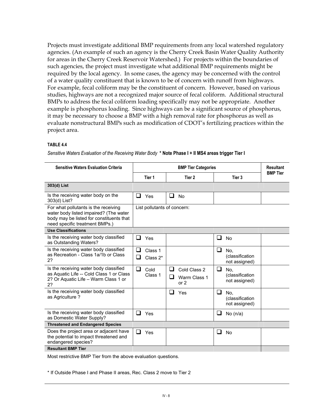Projects must investigate additional BMP requirements from any local watershed regulatory agencies. (An example of such an agency is the Cherry Creek Basin Water Quality Authority for areas in the Cherry Creek Reservoir Watershed.) For projects within the boundaries of such agencies, the project must investigate what additional BMP requirements might be required by the local agency. In some cases, the agency may be concerned with the control of a water quality constituent that is known to be of concern with runoff from highways. For example, fecal coliform may be the constituent of concern. However, based on various studies, highways are not a recognized major source of fecal coliform. Additional structural BMPs to address the fecal coliform loading specifically may not be appropriate. Another example is phosphorus loading. Since highways can be a significant source of phosphorus, it may be necessary to choose a BMP with a high removal rate for phosphorus as well as evaluate nonstructural BMPs such as modification of CDOT's fertilizing practices within the project area.

### **TABLE 4.4**

*Sensitive Waters Evaluation of the Receiving Water Body* **\* Note Phase I + II MS4 areas trigger Tier I**

| <b>Sensitive Waters Evaluation Criteria</b>                                                                                                                  |                               | <b>Resultant</b>                                 |                                               |                 |
|--------------------------------------------------------------------------------------------------------------------------------------------------------------|-------------------------------|--------------------------------------------------|-----------------------------------------------|-----------------|
|                                                                                                                                                              | Tier 1                        | Tier 2                                           | Tier 3                                        | <b>BMP Tier</b> |
| 303(d) List                                                                                                                                                  |                               |                                                  |                                               |                 |
| Is the receiving water body on the<br>303(d) List?                                                                                                           | ❏<br>Yes                      | ❏<br><b>No</b>                                   |                                               |                 |
| For what pollutants is the receiving<br>water body listed impaired? (The water<br>body may be listed for constituents that<br>need specific treatment BMPs.) | List pollutants of concern:   |                                                  |                                               |                 |
| <b>Use Classifications</b>                                                                                                                                   |                               |                                                  |                                               |                 |
| Is the receiving water body classified<br>as Outstanding Waters?                                                                                             | ப<br>Yes                      |                                                  | $\Box$<br><b>No</b>                           |                 |
| Is the receiving water body classified<br>as Recreation - Class 1a/1b or Class<br>2?                                                                         | ப<br>Class 1<br>❏<br>Class 2* |                                                  | ⊔<br>No,<br>(classification<br>not assigned)  |                 |
| Is the receiving water body classified<br>as Aquatic Life -- Cold Class 1 or Class<br>2? Or Aquatic Life - Warm Class 1 or<br>2?                             | □<br>Cold<br>Class 1          | ப<br>Cold Class 2<br>ப<br>Warm Class 1<br>or $2$ | ❏<br>No.<br>(classification)<br>not assigned) |                 |
| Is the receiving water body classified<br>as Agriculture?                                                                                                    |                               | ❏<br>Yes                                         | ❏<br>No.<br>(classification<br>not assigned)  |                 |
| Is the receiving water body classified<br>as Domestic Water Supply?                                                                                          | □<br>Yes                      |                                                  | ⊔<br>No $(n/a)$                               |                 |
| <b>Threatened and Endangered Species</b>                                                                                                                     |                               |                                                  |                                               |                 |
| Does the project area or adjacent have<br>the potential to impact threatened and<br>endangered species?                                                      | ❏<br>Yes                      |                                                  | □<br><b>No</b>                                |                 |
| <b>Resultant BMP Tier</b>                                                                                                                                    |                               |                                                  |                                               |                 |

Most restrictive BMP Tier from the above evaluation questions.

\* If Outside Phase I and Phase II areas, Rec. Class 2 move to Tier 2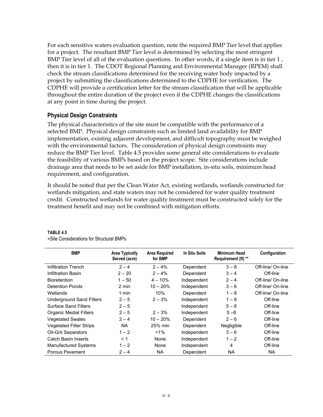For each sensitive waters evaluation question, note the required BMP Tier level that applies for a project. The resultant BMP Tier level is determined by selecting the most stringent BMP Tier level of all of the evaluation questions. In other words, if a single item is in tier 1 , then it is in tier 1. The CDOT Regional Planning and Environmental Manager (RPEM) shall check the stream classifications determined for the receiving water body impacted by a project by submitting the classifications determined to the CDPHE for verification. The CDPHE will provide a certification letter for the stream classification that will be applicable throughout the entire duration of the project even if the CDPHE changes the classifications at any point in time during the project.

### **Physical Design Constraints**

The physical characteristics of the site must be compatible with the performance of a selected BMP. Physical design constraints such as limited land availability for BMP implementation, existing adjacent development, and difficult topography must be weighed with the environmental factors. The consideration of physical design constraints may reduce the BMP Tier level. Table 4.5 provides some general site considerations to evaluate the feasibility of various BMPs based on the project scope. Site considerations include drainage area that needs to be set aside for BMP installation, in-situ soils, minimum head requirement, and configuration.

It should be noted that per the Clean Water Act, existing wetlands, wetlands constructed for wetlands mitigation, and state waters may not be considered for water quality treatment credit. Constructed wetlands for water quality treatment must be constructed solely for the treatment benefit and may not be combined with mitigation efforts.

| <b>BMP</b>                      | <b>Area Typically</b><br>Served (acre) | <b>Area Required</b><br>for BMP | In Situ Soils | Minimum Head<br>Requirement (ft) ** | Configuration     |
|---------------------------------|----------------------------------------|---------------------------------|---------------|-------------------------------------|-------------------|
| Infiltration Trench             | $2 - 4$                                | $2 - 4%$                        | Dependent     | $3 - 8$                             | Off-line/ On-line |
| Infiltration Basin              | $2 - 20$                               | $2 - 4%$                        | Dependent     | $3 - 4$                             | Off-line          |
| <b>Bioretention</b>             | $1 - 50$                               | $4 - 10%$                       | Independent   | $2 - 4$                             | Off-line/ On-line |
| <b>Detention Ponds</b>          | 2 min                                  | $10 - 20%$                      | Independent   | $3 - 6$                             | Off-line/ On-line |
| Wetlands                        | 1 min                                  | 10%                             | Dependent     | $1 - 8$                             | Off-line/ On-line |
| <b>Underground Sand Filters</b> | $2 - 5$                                | $2 - 3%$                        | Independent   | $1 - 8$                             | Off-line          |
| <b>Surface Sand Filters</b>     | $2 - 5$                                |                                 | Independent   | $5 - 8$                             | Off-line          |
| <b>Organic Medial Filters</b>   | $2 - 5$                                | $2 - 3%$                        | Independent   | $5 - 8$                             | Off-line          |
| <b>Vegetated Swales</b>         | $2 - 4$                                | $10 - 20\%$                     | Dependent     | $2 - 6$                             | Off-line          |
| <b>Vegetated Filter Strips</b>  | <b>NA</b>                              | 25% min                         | Dependent     | Negligible                          | Off-line          |
| <b>Oil-Grit Separators</b>      | $1 - 2$                                | $1\%$                           | Independent   | $3 - 6$                             | Off-line          |
| Catch Basin Inserts             | $\leq 1$                               | None                            | Independent   | $1 - 2$                             | Off-line          |
| <b>Manufactured Systems</b>     | $1 - 2$                                | None                            | Independent   | 4                                   | Off-line          |
| Porous Pavement                 | $2 - 4$                                | <b>NA</b>                       | Dependent     | NA                                  | NA                |

### **TABLE 4.5**

∗Site Considerations for Structural BMPs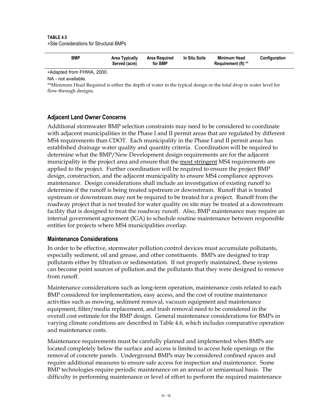#### **TABLE 4.5**  ∗Site Considerations for Structural BMPs

| <b>BMP</b><br>Area Typically<br>Served (acre) | Area Required<br>for BMP | In Situ Soils | Minimum Head<br>Requirement (ft) ** | Configuration |
|-----------------------------------------------|--------------------------|---------------|-------------------------------------|---------------|
|-----------------------------------------------|--------------------------|---------------|-------------------------------------|---------------|

∗Adapted from FHWA, 2000.

NA - not available.

\*\*Minimum Head Required is either the depth of water in the typical design or the total drop in water level for flow-through designs.

### **Adjacent Land Owner Concerns**

Additional stormwater BMP selection constraints may need to be considered to coordinate with adjacent municipalities in the Phase I and II permit areas that are regulated by different MS4 requirements than CDOT. Each municipality in the Phase I and II permit areas has established drainage water quality and quantity criteria. Coordination will be required to determine what the BMP/New Development design requirements are for the adjacent municipality in the project area and ensure that the most stringent MS4 requirements are applied to the project. Further coordination will be required to ensure the project BMP design, construction, and the adjacent municipality to ensure MS4 compliance approves maintenance. Design considerations shall include an investigation of existing runoff to determine if the runoff is being treated upstream or downstream. Runoff that is treated upstream or downstream may not be required to be treated for a project. Runoff from the roadway project that is not treated for water quality on site may be treated at a downstream facility that is designed to treat the roadway runoff. Also, BMP maintenance may require an internal government agreement (IGA) to schedule routine maintenance between responsible entities for projects where MS4 municipalities overlap.

### **Maintenance Considerations**

In order to be effective, stormwater pollution control devices must accumulate pollutants, especially sediment, oil and grease, and other constituents. BMPs are designed to trap pollutants either by filtration or sedimentation. If not properly maintained, these systems can become point sources of pollution and the pollutants that they were designed to remove from runoff.

Maintenance considerations such as long-term operation, maintenance costs related to each BMP considered for implementation, easy access, and the cost of routine maintenance activities such as mowing, sediment removal, vacuum equipment and maintenance equipment, filter/media replacement, and trash removal need to be considered in the overall cost estimate for the BMP design. General maintenance considerations for BMPs in varying climate conditions are described in Table 4.6, which includes comparative operation and maintenance costs.

Maintenance requirements must be carefully planned and implemented when BMPs are located completely below the surface and access is limited to access hole openings or the removal of concrete panels. Underground BMPs may be considered confined spaces and require additional measures to ensure safe access for inspection and maintenance. Some BMP technologies require periodic maintenance on an annual or semiannual basis. The difficulty in performing maintenance or level of effort to perform the required maintenance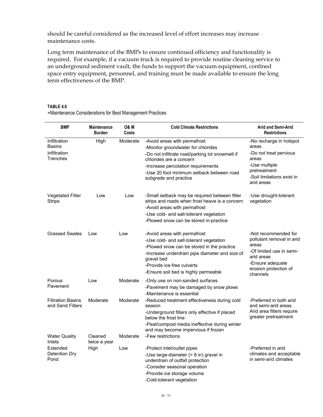should be careful considered as the increased level of effort increases may increase maintenance costs.

Long term maintenance of the BMPs to ensure continued efficiency and functionality is required. For example, if a vacuum truck is required to provide routine cleaning service to an underground sediment vault, the funds to support the vacuum equipment, confined space entry equipment, personnel, and training must be made available to ensure the long term effectiveness of the BMP.

#### **TABLE 4.6**

∗Maintenance Considerations for Best Management Practices

| <b>BMP</b>                                   | <b>Maintenance</b><br><b>Burden</b> | <b>O&amp; M</b><br>Costs | <b>Cold Climate Restrictions</b>                                                                                                                                                                                                                            | <b>Arid and Semi-Arid</b><br><b>Restrictions</b>                                                                                                              |
|----------------------------------------------|-------------------------------------|--------------------------|-------------------------------------------------------------------------------------------------------------------------------------------------------------------------------------------------------------------------------------------------------------|---------------------------------------------------------------------------------------------------------------------------------------------------------------|
| Infiltration<br><b>Basins</b>                | High                                | Moderate                 | -Avoid areas with permafrost<br>-Monitor groundwater for chlorides                                                                                                                                                                                          | -No recharge in hotspot<br>areas                                                                                                                              |
| Infiltration<br>Trenches                     |                                     |                          | -Do not infiltrate road/parking lot snowmelt if<br>chlorides are a concern<br>-Increase percolation requirements<br>-Use 20 foot minimum setback between road<br>subgrade and practice                                                                      | -Do not treat pervious<br>areas<br>-Use multiple<br>pretreatment<br>-Soil limitations exist in<br>arid areas                                                  |
| <b>Vegetated Filter</b><br>Strips            | Low                                 | Low                      | -Small setback may be required between filter<br>strips and roads when frost heave is a concern<br>-Avoid areas with permafrost<br>-Use cold- and salt-tolerant vegetation<br>-Plowed snow can be stored in-practice                                        | -Use drought-tolerant<br>vegetation                                                                                                                           |
| <b>Grassed Swales</b>                        | Low                                 | Low                      | -Avoid areas with permafrost<br>-Use cold- and salt-tolerant vegetation<br>-Plowed snow can be stored in the practice<br>-Increase underdrain pipe diameter and size of<br>gravel bed<br>-Provide ice-free culverts<br>-Ensure soil bed is highly permeable | -Not recommended for<br>pollutant removal in arid<br>areas<br>-Of limited use in semi-<br>arid areas<br>-Ensure adequate<br>erosion protection of<br>channels |
| Porous<br>Pavement                           | Low                                 | Moderate                 | -Only use on non-sanded surfaces<br>-Pavement may be damaged by snow plows<br>-Maintenance is essential                                                                                                                                                     |                                                                                                                                                               |
| <b>Filtration Basins</b><br>and Sand Filters | Moderate                            | Moderate                 | -Reduced treatment effectiveness during cold<br>season<br>-Underground filters only effective if placed<br>below the frost line<br>-Peat/compost media ineffective during winter<br>and may become impervious if frozen                                     | -Preferred in both arid<br>and semi-arid areas.<br>Arid area filters require<br>greater pretreatment                                                          |
| <b>Water Quality</b><br>Inlets               | Cleaned<br>twice a year             | Moderate                 | -Few restrictions                                                                                                                                                                                                                                           |                                                                                                                                                               |
| Extended<br><b>Detention Dry</b><br>Pond     | High                                | Low                      | -Protect inlet/outlet pipes<br>-Use large-diameter (> 8 in) gravel in<br>underdrain of outfall protection<br>-Consider seasonal operation<br>-Provide ice storage volume<br>-Cold-tolerant vegetation                                                       | -Preferred in arid<br>climates and acceptable<br>in semi-arid climates                                                                                        |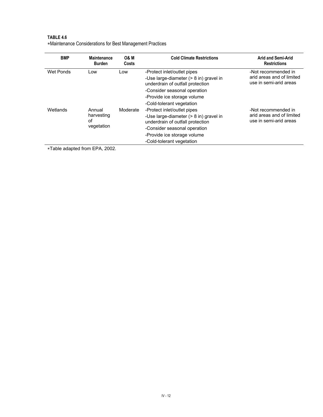| TABLE 4.6                                                 |
|-----------------------------------------------------------|
| *Maintenance Considerations for Best Management Practices |

| <b>BMP</b> | <b>Maintenance</b><br><b>Burden</b>      | <b>O&amp; M</b><br>Costs | <b>Cold Climate Restrictions</b>                                                                                                                                                                                | <b>Arid and Semi-Arid</b><br><b>Restrictions</b>                           |
|------------|------------------------------------------|--------------------------|-----------------------------------------------------------------------------------------------------------------------------------------------------------------------------------------------------------------|----------------------------------------------------------------------------|
| Wet Ponds  | Low                                      | Low                      | -Protect inlet/outlet pipes<br>-Use large-diameter $(> 8 \text{ in})$ gravel in<br>underdrain of outfall protection<br>-Consider seasonal operation<br>-Provide ice storage volume<br>-Cold-tolerant vegetation | -Not recommended in<br>arid areas and of limited<br>use in semi-arid areas |
| Wetlands   | Annual<br>harvesting<br>οf<br>vegetation | Moderate                 | -Protect inlet/outlet pipes<br>-Use large-diameter (> 8 in) gravel in<br>underdrain of outfall protection<br>-Consider seasonal operation<br>-Provide ice storage volume<br>-Cold-tolerant vegetation           | -Not recommended in<br>arid areas and of limited<br>use in semi-arid areas |

∗Table adapted from EPA, 2002.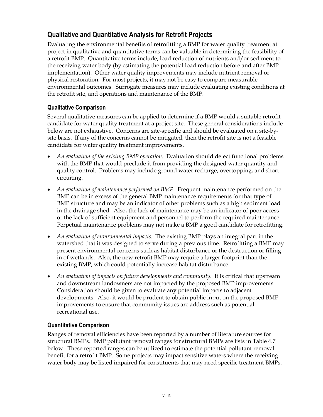## **Qualitative and Quantitative Analysis for Retrofit Projects**

Evaluating the environmental benefits of retrofitting a BMP for water quality treatment at project in qualitative and quantitative terms can be valuable in determining the feasibility of a retrofit BMP. Quantitative terms include, load reduction of nutrients and/or sediment to the receiving water body (by estimating the potential load reduction before and after BMP implementation). Other water quality improvements may include nutrient removal or physical restoration. For most projects, it may not be easy to compare measurable environmental outcomes. Surrogate measures may include evaluating existing conditions at the retrofit site, and operations and maintenance of the BMP.

### **Qualitative Comparison**

Several qualitative measures can be applied to determine if a BMP would a suitable retrofit candidate for water quality treatment at a project site. These general considerations include below are not exhaustive. Concerns are site-specific and should be evaluated on a site-bysite basis. If any of the concerns cannot be mitigated, then the retrofit site is not a feasible candidate for water quality treatment improvements.

- *An evaluation of the existing BMP operation.* Evaluation should detect functional problems with the BMP that would preclude it from providing the designed water quantity and quality control. Problems may include ground water recharge, overtopping, and shortcircuiting.
- An evaluation of maintenance performed on BMP. Frequent maintenance performed on the BMP can be in excess of the general BMP maintenance requirements for that type of BMP structure and may be an indicator of other problems such as a high sediment load in the drainage shed. Also, the lack of maintenance may be an indicator of poor access or the lack of sufficient equipment and personnel to perform the required maintenance. Perpetual maintenance problems may not make a BMP a good candidate for retrofitting.
- *An evaluation of environmental impacts.* The existing BMP plays an integral part in the watershed that it was designed to serve during a previous time. Retrofitting a BMP may present environmental concerns such as habitat disturbance or the destruction or filling in of wetlands. Also, the new retrofit BMP may require a larger footprint than the existing BMP, which could potentially increase habitat disturbance.
- An evaluation of impacts on future developments and community. It is critical that upstream and downstream landowners are not impacted by the proposed BMP improvements. Consideration should be given to evaluate any potential impacts to adjacent developments. Also, it would be prudent to obtain public input on the proposed BMP improvements to ensure that community issues are address such as potential recreational use.

### **Quantitative Comparison**

Ranges of removal efficiencies have been reported by a number of literature sources for structural BMPs. BMP pollutant removal ranges for structural BMPs are lists in Table 4.7 below. These reported ranges can be utilized to estimate the potential pollutant removal benefit for a retrofit BMP. Some projects may impact sensitive waters where the receiving water body may be listed impaired for constituents that may need specific treatment BMPs.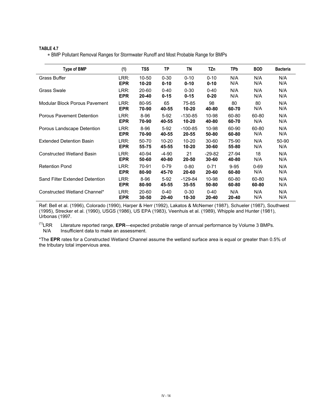∗ BMP Pollutant Removal Ranges for Stormwater Runoff and Most Probable Range for BMPs

| Type of BMP                      | (1)        | TSS       | <b>TP</b> | ΤN        | TZn       | TPb      | <b>BOD</b> | <b>Bacteria</b> |
|----------------------------------|------------|-----------|-----------|-----------|-----------|----------|------------|-----------------|
| <b>Grass Buffer</b>              | LRR:       | 10-50     | $0 - 30$  | $0 - 10$  | $0 - 10$  | N/A      | N/A        | N/A             |
|                                  | <b>EPR</b> | 10-20     | $0 - 10$  | $0 - 10$  | $0 - 10$  | N/A      | N/A        | N/A             |
| <b>Grass Swale</b>               | LRR:       | 20-60     | $0 - 40$  | $0 - 30$  | $0 - 40$  | N/A      | N/A        | N/A             |
|                                  | <b>EPR</b> | $20 - 40$ | $0 - 15$  | $0 - 15$  | $0 - 20$  | N/A      | N/A        | N/A             |
| Modular Block Porous Pavement    | LRR:       | 80-95     | 65        | 75-85     | 98        | 80       | 80         | N/A             |
|                                  | <b>EPR</b> | 70-90     | 40-55     | $10 - 20$ | 40-80     | 60-70    | N/A        | N/A             |
| <b>Porous Pavement Detention</b> | LRR:       | $8 - 96$  | $5-92$    | $-130-85$ | 10-98     | 60-80    | 60-80      | N/A             |
|                                  | <b>EPR</b> | 70-90     | 40-55     | $10 - 20$ | 40-80     | 60-70    | N/A        | N/A             |
| Porous Landscape Detention       | LRR:       | 8-96      | $5-92$    | $-100-85$ | 10-98     | 60-90    | 60-80      | N/A             |
|                                  | <b>EPR</b> | 70-90     | 40-55     | 20-55     | 50-80     | 60-80    | N/A        | N/A             |
| <b>Extended Detention Basin</b>  | LRR:       | 50-70     | $10 - 20$ | $10 - 20$ | $30 - 60$ | 75-90    | N/A        | 50-90           |
|                                  | <b>EPR</b> | 55-75     | 45-55     | $10 - 20$ | 30-60     | 55-80    | N/A        | N/A             |
| <b>Constructed Wetland Basin</b> | LRR:       | 40-94     | $-4-90$   | 21        | $-29-82$  | 27-94    | 18         | N/A             |
|                                  | <b>EPR</b> | 50-60     | 40-80     | 20-50     | 30-60     | 40-80    | N/A        | N/A             |
| <b>Retention Pond</b>            | LRR:       | 70-91     | $0 - 79$  | $0 - 80$  | $0 - 71$  | $9 - 95$ | $0 - 69$   | N/A             |
|                                  | <b>EPR</b> | 80-90     | 45-70     | 20-60     | 20-60     | 60-80    | N/A        | N/A             |
| Sand Filter Extended Detention   | LRR:       | 8-96      | $5-92$    | $-129-84$ | 10-98     | 60-80    | 60-80      | N/A             |
|                                  | <b>EPR</b> | 80-90     | 45-55     | $35 - 55$ | 50-80     | 60-80    | 60-80      | N/A             |
| Constructed Wetland Channel*     | LRR:       | 20-60     | $0 - 40$  | $0 - 30$  | $0 - 40$  | N/A      | N/A        | N/A             |
|                                  | <b>EPR</b> | $30 - 50$ | 20-40     | 10-30     | 20-40     | 20-40    | N/A        | N/A             |

Ref: Bell et al. (1996), Colorado (1990), Harper & Herr (1992), Lakatos & McNemer (1987), Schueler (1987), Southwest (1995), Strecker et al. (1990), USGS (1986), US EPA (1983), Veenhuis et al. (1989), Whipple and Hunter (1981), Urbonas (1997.

 $(1)$ <sub>LRR</sub> Literature reported range, EPR—expected probable range of annual performance by Volume 3 BMPs. N/A Insufficient data to make an assessment.

\*The **EPR** rates for a Constructed Wetland Channel assume the wetland surface area is equal or greater than 0.5% of the tributary total impervious area.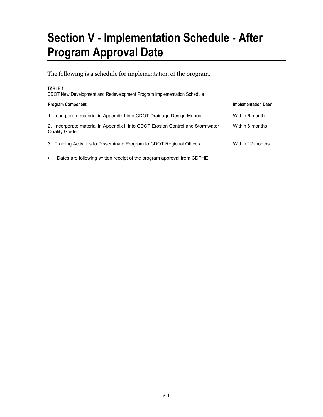## **Section V - Implementation Schedule - After Program Approval Date**

The following is a schedule for implementation of the program.

#### **TABLE 1**

CDOT New Development and Redevelopment Program Implementation Schedule

| <b>Program Component</b>                                                                                | Implementation Date* |
|---------------------------------------------------------------------------------------------------------|----------------------|
| Incorporate material in Appendix I into CDOT Drainage Design Manual                                     | Within 6 month       |
| 2. Incorporate material in Appendix II into CDOT Erosion Control and Stormwater<br><b>Quality Guide</b> | Within 6 months      |
| 3. Training Activities to Disseminate Program to CDOT Regional Offices                                  | Within 12 months     |

• Dates are following written receipt of the program approval from CDPHE.